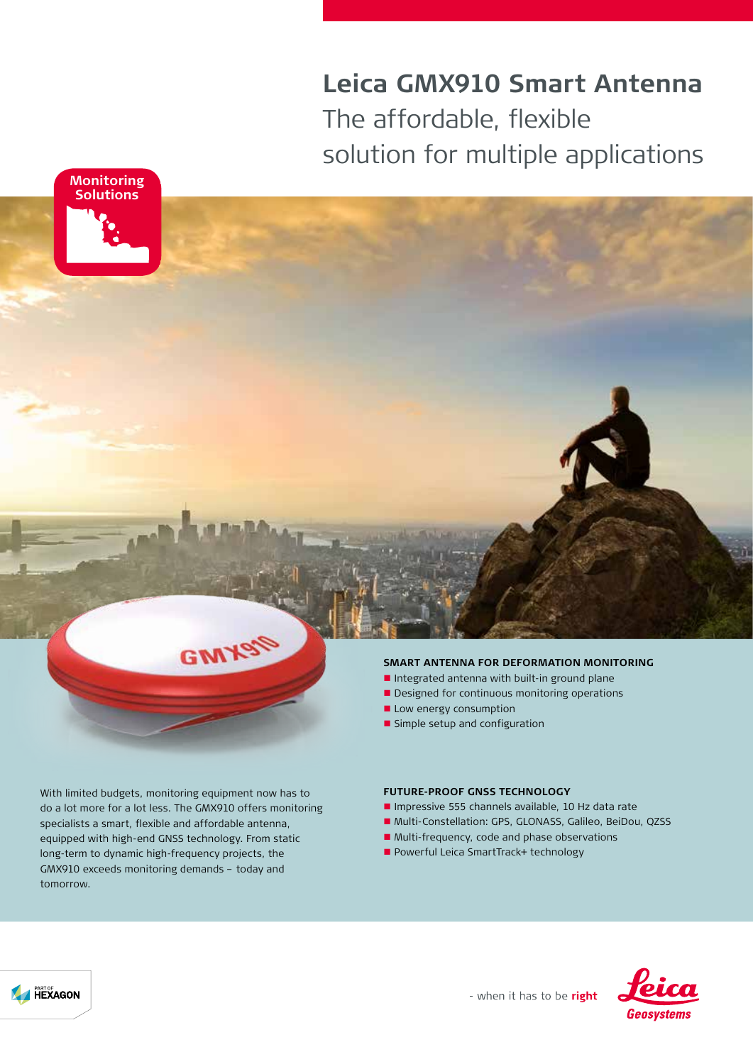# **Leica GMX910 Smart Antenna** The affordable, flexible solution for multiple applications





- Integrated antenna with built-in ground plane
- Designed for continuous monitoring operations
- $\blacksquare$  Low energy consumption
- **n** Simple setup and configuration

With limited budgets, monitoring equipment now has to do a lot more for a lot less. The GMX910 offers monitoring specialists a smart, flexible and affordable antenna, equipped with high-end GNSS technology. From static long-term to dynamic high-frequency projects, the GMX910 exceeds monitoring demands – today and tomorrow.

**GWX** 

#### **FUTURE-PROOF GNSS TECHNOLOGY**

- Impressive 555 channels available, 10 Hz data rate
- n Multi-Constellation: GPS, GLONASS, Galileo, BeiDou, QZSS
- Multi-frequency, code and phase observations
- Powerful Leica SmartTrack+ technology



- when it has to be right